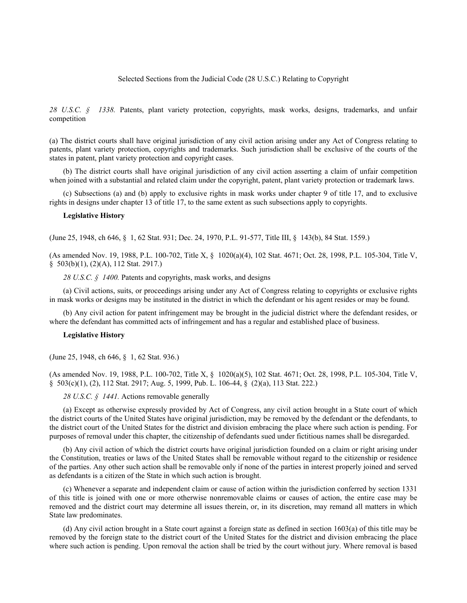# Selected Sections from the Judicial Code (28 U.S.C.) Relating to Copyright

*28 U.S.C. § 1338.* Patents, plant variety protection, copyrights, mask works, designs, trademarks, and unfair competition

(a) The district courts shall have original jurisdiction of any civil action arising under any Act of Congress relating to patents, plant variety protection, copyrights and trademarks. Such jurisdiction shall be exclusive of the courts of the states in patent, plant variety protection and copyright cases.

(b) The district courts shall have original jurisdiction of any civil action asserting a claim of unfair competition when joined with a substantial and related claim under the copyright, patent, plant variety protection or trademark laws.

(c) Subsections (a) and (b) apply to exclusive rights in mask works under chapter 9 of title 17, and to exclusive rights in designs under chapter 13 of title 17, to the same extent as such subsections apply to copyrights.

## **Legislative History**

(June 25, 1948, ch 646, § 1, 62 Stat. 931; Dec. 24, 1970, P.L. 91-577, Title III, § 143(b), 84 Stat. 1559.)

(As amended Nov. 19, 1988, P.L. 100-702, Title X, § 1020(a)(4), 102 Stat. 4671; Oct. 28, 1998, P.L. 105-304, Title V, § 503(b)(1), (2)(A), 112 Stat. 2917.)

*28 U.S.C. § 1400.* Patents and copyrights, mask works, and designs

(a) Civil actions, suits, or proceedings arising under any Act of Congress relating to copyrights or exclusive rights in mask works or designs may be instituted in the district in which the defendant or his agent resides or may be found.

(b) Any civil action for patent infringement may be brought in the judicial district where the defendant resides, or where the defendant has committed acts of infringement and has a regular and established place of business.

### **Legislative History**

(June 25, 1948, ch 646, § 1, 62 Stat. 936.)

(As amended Nov. 19, 1988, P.L. 100-702, Title X, § 1020(a)(5), 102 Stat. 4671; Oct. 28, 1998, P.L. 105-304, Title V, § 503(c)(1), (2), 112 Stat. 2917; Aug. 5, 1999, Pub. L. 106-44, § (2)(a), 113 Stat. 222.)

*28 U.S.C. § 1441.* Actions removable generally

(a) Except as otherwise expressly provided by Act of Congress, any civil action brought in a State court of which the district courts of the United States have original jurisdiction, may be removed by the defendant or the defendants, to the district court of the United States for the district and division embracing the place where such action is pending. For purposes of removal under this chapter, the citizenship of defendants sued under fictitious names shall be disregarded.

(b) Any civil action of which the district courts have original jurisdiction founded on a claim or right arising under the Constitution, treaties or laws of the United States shall be removable without regard to the citizenship or residence of the parties. Any other such action shall be removable only if none of the parties in interest properly joined and served as defendants is a citizen of the State in which such action is brought.

(c) Whenever a separate and independent claim or cause of action within the jurisdiction conferred by section 1331 of this title is joined with one or more otherwise nonremovable claims or causes of action, the entire case may be removed and the district court may determine all issues therein, or, in its discretion, may remand all matters in which State law predominates.

(d) Any civil action brought in a State court against a foreign state as defined in section 1603(a) of this title may be removed by the foreign state to the district court of the United States for the district and division embracing the place where such action is pending. Upon removal the action shall be tried by the court without jury. Where removal is based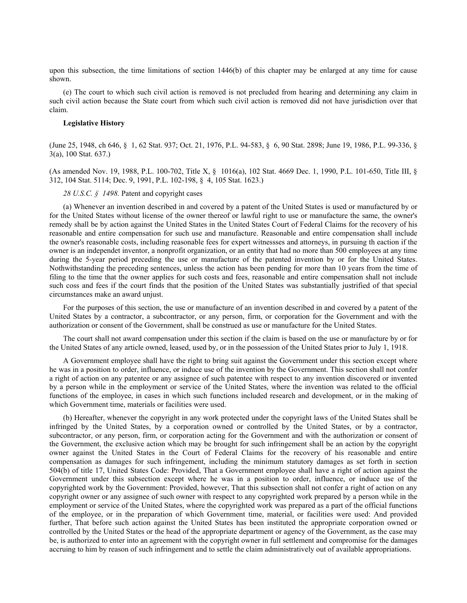upon this subsection, the time limitations of section 1446(b) of this chapter may be enlarged at any time for cause shown.

(e) The court to which such civil action is removed is not precluded from hearing and determining any claim in such civil action because the State court from which such civil action is removed did not have jurisdiction over that claim.

### **Legislative History**

(June 25, 1948, ch 646, § 1, 62 Stat. 937; Oct. 21, 1976, P.L. 94-583, § 6, 90 Stat. 2898; June 19, 1986, P.L. 99-336, § 3(a), 100 Stat. 637.)

(As amended Nov. 19, 1988, P.L. 100-702, Title X, § 1016(a), 102 Stat. 4669 Dec. 1, 1990, P.L. 101-650, Title III, § 312, 104 Stat. 5114; Dec. 9, 1991, P.L. 102-198, § 4, 105 Stat. 1623.)

## *28 U.S.C. § 1498.* Patent and copyright cases

(a) Whenever an invention described in and covered by a patent of the United States is used or manufactured by or for the United States without license of the owner thereof or lawful right to use or manufacture the same, the owner's remedy shall be by action against the United States in the United States Court of Federal Claims for the recovery of his reasonable and entire compensation for such use and manufacture. Reasonable and entire compensation shall include the owner's reasonable costs, including reasonable fees for expert witnessses and attorneys, in pursuing th eaction if the owner is an independet inventor, a nonprofit organization, or an entity that had no more than 500 employees at any time during the 5-year period preceding the use or manufacture of the patented invention by or for the United States. Nothwithstanding the preceding sentences, unless the action has been pending for more than 10 years from the time of filing to the time that the owner applies for such costs and fees, reasonable and entire compensation shall not include such coss and fees if the court finds that the position of the United States was substantially justrified of that special circumstances make an award unjust.

For the purposes of this section, the use or manufacture of an invention described in and covered by a patent of the United States by a contractor, a subcontractor, or any person, firm, or corporation for the Government and with the authorization or consent of the Government, shall be construed as use or manufacture for the United States.

The court shall not award compensation under this section if the claim is based on the use or manufacture by or for the United States of any article owned, leased, used by, or in the possession of the United States prior to July 1, 1918.

A Government employee shall have the right to bring suit against the Government under this section except where he was in a position to order, influence, or induce use of the invention by the Government. This section shall not confer a right of action on any patentee or any assignee of such patentee with respect to any invention discovered or invented by a person while in the employment or service of the United States, where the invention was related to the official functions of the employee, in cases in which such functions included research and development, or in the making of which Government time, materials or facilities were used.

(b) Hereafter, whenever the copyright in any work protected under the copyright laws of the United States shall be infringed by the United States, by a corporation owned or controlled by the United States, or by a contractor, subcontractor, or any person, firm, or corporation acting for the Government and with the authorization or consent of the Government, the exclusive action which may be brought for such infringement shall be an action by the copyright owner against the United States in the Court of Federal Claims for the recovery of his reasonable and entire compensation as damages for such infringement, including the minimum statutory damages as set forth in section 504(b) of title 17, United States Code: Provided, That a Government employee shall have a right of action against the Government under this subsection except where he was in a position to order, influence, or induce use of the copyrighted work by the Government: Provided, however, That this subsection shall not confer a right of action on any copyright owner or any assignee of such owner with respect to any copyrighted work prepared by a person while in the employment or service of the United States, where the copyrighted work was prepared as a part of the official functions of the employee, or in the preparation of which Government time, material, or facilities were used: And provided further, That before such action against the United States has been instituted the appropriate corporation owned or controlled by the United States or the head of the appropriate department or agency of the Government, as the case may be, is authorized to enter into an agreement with the copyright owner in full settlement and compromise for the damages accruing to him by reason of such infringement and to settle the claim administratively out of available appropriations.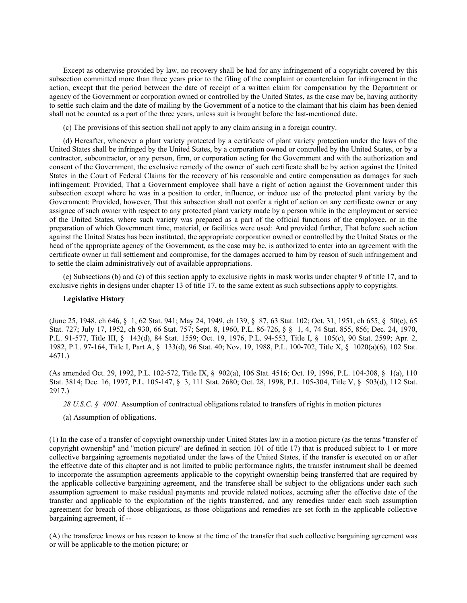Except as otherwise provided by law, no recovery shall be had for any infringement of a copyright covered by this subsection committed more than three years prior to the filing of the complaint or counterclaim for infringement in the action, except that the period between the date of receipt of a written claim for compensation by the Department or agency of the Government or corporation owned or controlled by the United States, as the case may be, having authority to settle such claim and the date of mailing by the Government of a notice to the claimant that his claim has been denied shall not be counted as a part of the three years, unless suit is brought before the last-mentioned date.

(c) The provisions of this section shall not apply to any claim arising in a foreign country.

(d) Hereafter, whenever a plant variety protected by a certificate of plant variety protection under the laws of the United States shall be infringed by the United States, by a corporation owned or controlled by the United States, or by a contractor, subcontractor, or any person, firm, or corporation acting for the Government and with the authorization and consent of the Government, the exclusive remedy of the owner of such certificate shall be by action against the United States in the Court of Federal Claims for the recovery of his reasonable and entire compensation as damages for such infringement: Provided, That a Government employee shall have a right of action against the Government under this subsection except where he was in a position to order, influence, or induce use of the protected plant variety by the Government: Provided, however, That this subsection shall not confer a right of action on any certificate owner or any assignee of such owner with respect to any protected plant variety made by a person while in the employment or service of the United States, where such variety was prepared as a part of the official functions of the employee, or in the preparation of which Government time, material, or facilities were used: And provided further, That before such action against the United States has been instituted, the appropriate corporation owned or controlled by the United States or the head of the appropriate agency of the Government, as the case may be, is authorized to enter into an agreement with the certificate owner in full settlement and compromise, for the damages accrued to him by reason of such infringement and to settle the claim administratively out of available appropriations.

(e) Subsections (b) and (c) of this section apply to exclusive rights in mask works under chapter 9 of title 17, and to exclusive rights in designs under chapter 13 of title 17, to the same extent as such subsections apply to copyrights.

### **Legislative History**

(June 25, 1948, ch 646, § 1, 62 Stat. 941; May 24, 1949, ch 139, § 87, 63 Stat. 102; Oct. 31, 1951, ch 655, § 50(c), 65 Stat. 727; July 17, 1952, ch 930, 66 Stat. 757; Sept. 8, 1960, P.L. 86-726, § § 1, 4, 74 Stat. 855, 856; Dec. 24, 1970, P.L. 91-577, Title III, § 143(d), 84 Stat. 1559; Oct. 19, 1976, P.L. 94-553, Title I, § 105(c), 90 Stat. 2599; Apr. 2, 1982, P.L. 97-164, Title I, Part A, § 133(d), 96 Stat. 40; Nov. 19, 1988, P.L. 100-702, Title X, § 1020(a)(6), 102 Stat. 4671.)

(As amended Oct. 29, 1992, P.L. 102-572, Title IX, § 902(a), 106 Stat. 4516; Oct. 19, 1996, P.L. 104-308, § 1(a), 110 Stat. 3814; Dec. 16, 1997, P.L. 105-147, § 3, 111 Stat. 2680; Oct. 28, 1998, P.L. 105-304, Title V, § 503(d), 112 Stat. 2917.)

28 U.S.C. § 4001. Assumption of contractual obligations related to transfers of rights in motion pictures

(a) Assumption of obligations.

(1) In the case of a transfer of copyright ownership under United States law in a motion picture (as the terms ''transfer of copyright ownership'' and ''motion picture'' are defined in section 101 of title 17) that is produced subject to 1 or more collective bargaining agreements negotiated under the laws of the United States, if the transfer is executed on or after the effective date of this chapter and is not limited to public performance rights, the transfer instrument shall be deemed to incorporate the assumption agreements applicable to the copyright ownership being transferred that are required by the applicable collective bargaining agreement, and the transferee shall be subject to the obligations under each such assumption agreement to make residual payments and provide related notices, accruing after the effective date of the transfer and applicable to the exploitation of the rights transferred, and any remedies under each such assumption agreement for breach of those obligations, as those obligations and remedies are set forth in the applicable collective bargaining agreement, if --

(A) the transferee knows or has reason to know at the time of the transfer that such collective bargaining agreement was or will be applicable to the motion picture; or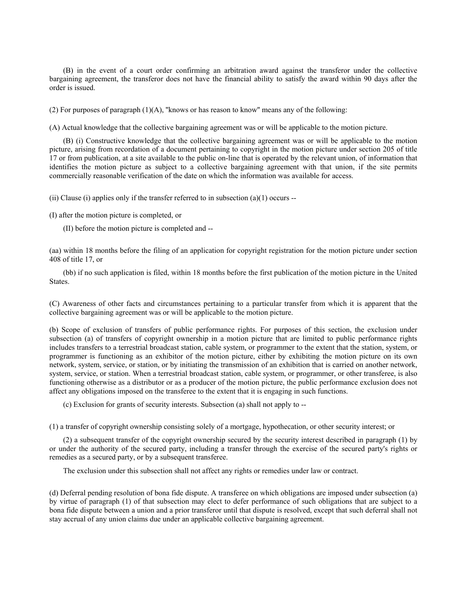(B) in the event of a court order confirming an arbitration award against the transferor under the collective bargaining agreement, the transferor does not have the financial ability to satisfy the award within 90 days after the order is issued.

(2) For purposes of paragraph  $(1)(A)$ , "knows or has reason to know" means any of the following:

(A) Actual knowledge that the collective bargaining agreement was or will be applicable to the motion picture.

(B) (i) Constructive knowledge that the collective bargaining agreement was or will be applicable to the motion picture, arising from recordation of a document pertaining to copyright in the motion picture under section 205 of title 17 or from publication, at a site available to the public on-line that is operated by the relevant union, of information that identifies the motion picture as subject to a collective bargaining agreement with that union, if the site permits commercially reasonable verification of the date on which the information was available for access.

(ii) Clause (i) applies only if the transfer referred to in subsection  $(a)(1)$  occurs --

(I) after the motion picture is completed, or

(II) before the motion picture is completed and --

(aa) within 18 months before the filing of an application for copyright registration for the motion picture under section 408 of title 17, or

(bb) if no such application is filed, within 18 months before the first publication of the motion picture in the United States.

(C) Awareness of other facts and circumstances pertaining to a particular transfer from which it is apparent that the collective bargaining agreement was or will be applicable to the motion picture.

(b) Scope of exclusion of transfers of public performance rights. For purposes of this section, the exclusion under subsection (a) of transfers of copyright ownership in a motion picture that are limited to public performance rights includes transfers to a terrestrial broadcast station, cable system, or programmer to the extent that the station, system, or programmer is functioning as an exhibitor of the motion picture, either by exhibiting the motion picture on its own network, system, service, or station, or by initiating the transmission of an exhibition that is carried on another network, system, service, or station. When a terrestrial broadcast station, cable system, or programmer, or other transferee, is also functioning otherwise as a distributor or as a producer of the motion picture, the public performance exclusion does not affect any obligations imposed on the transferee to the extent that it is engaging in such functions.

(c) Exclusion for grants of security interests. Subsection (a) shall not apply to --

(1) a transfer of copyright ownership consisting solely of a mortgage, hypothecation, or other security interest; or

(2) a subsequent transfer of the copyright ownership secured by the security interest described in paragraph (1) by or under the authority of the secured party, including a transfer through the exercise of the secured party's rights or remedies as a secured party, or by a subsequent transferee.

The exclusion under this subsection shall not affect any rights or remedies under law or contract.

(d) Deferral pending resolution of bona fide dispute. A transferee on which obligations are imposed under subsection (a) by virtue of paragraph (1) of that subsection may elect to defer performance of such obligations that are subject to a bona fide dispute between a union and a prior transferor until that dispute is resolved, except that such deferral shall not stay accrual of any union claims due under an applicable collective bargaining agreement.